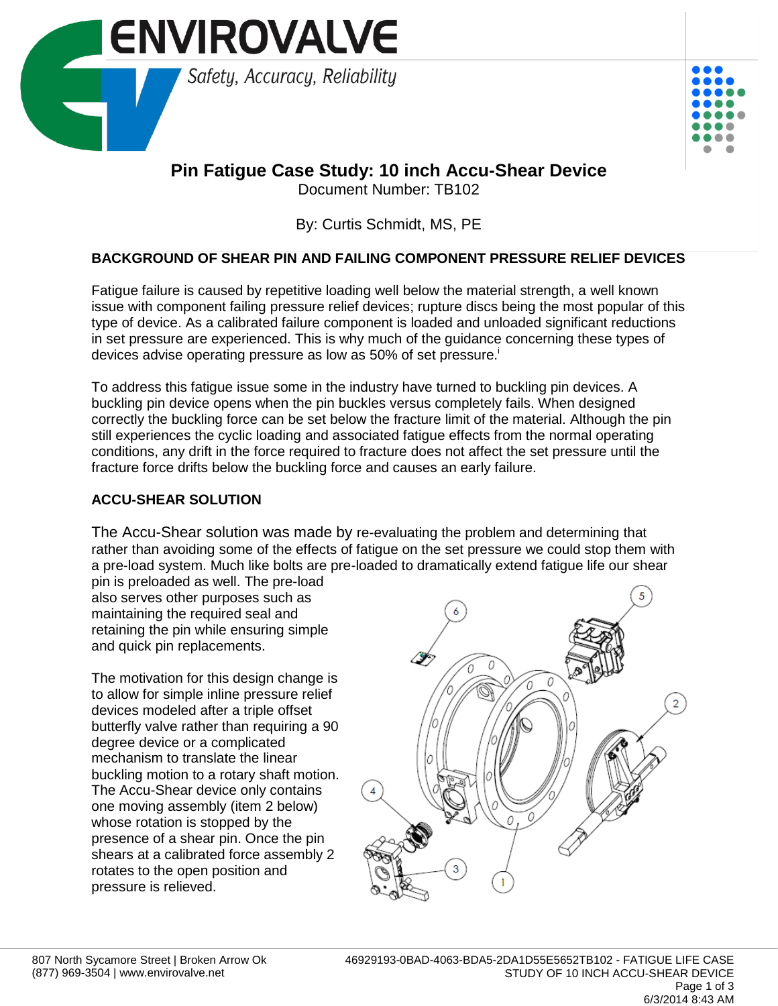



# **Pin Fatigue Case Study: 10 inch Accu-Shear Device**

Document Number: TB102

By: Curtis Schmidt, MS, PE

# **BACKGROUND OF SHEAR PIN AND FAILING COMPONENT PRESSURE RELIEF DEVICES**

Fatigue failure is caused by repetitive loading well below the material strength, a well known issue with component failing pressure relief devices; rupture discs being the most popular of this type of device. As a calibrated failure component is loaded and unloaded significant reductions in set pressure are experienced. This is why much of the guidance concerning these types of devices advise operating pressure as low as 50% of set pressure.<sup>1</sup>

To address this fatigue issue some in the industry have turned to buckling pin devices. A buckling pin device opens when the pin buckles versus completely fails. When designed correctly the buckling force can be set below the fracture limit of the material. Although the pin still experiences the cyclic loading and associated fatigue effects from the normal operating conditions, any drift in the force required to fracture does not affect the set pressure until the fracture force drifts below the buckling force and causes an early failure.

# **ACCU-SHEAR SOLUTION**

The Accu-Shear solution was made by re-evaluating the problem and determining that rather than avoiding some of the effects of fatigue on the set pressure we could stop them with a pre-load system. Much like bolts are pre-loaded to dramatically extend fatigue life our shear

pin is preloaded as well. The pre-load also serves other purposes such as maintaining the required seal and retaining the pin while ensuring simple and quick pin replacements.

The motivation for this design change is to allow for simple inline pressure relief devices modeled after a triple offset butterfly valve rather than requiring a 90 degree device or a complicated mechanism to translate the linear buckling motion to a rotary shaft motion. The Accu-Shear device only contains one moving assembly (item 2 below) whose rotation is stopped by the presence of a shear pin. Once the pin shears at a calibrated force assembly 2 rotates to the open position and pressure is relieved.

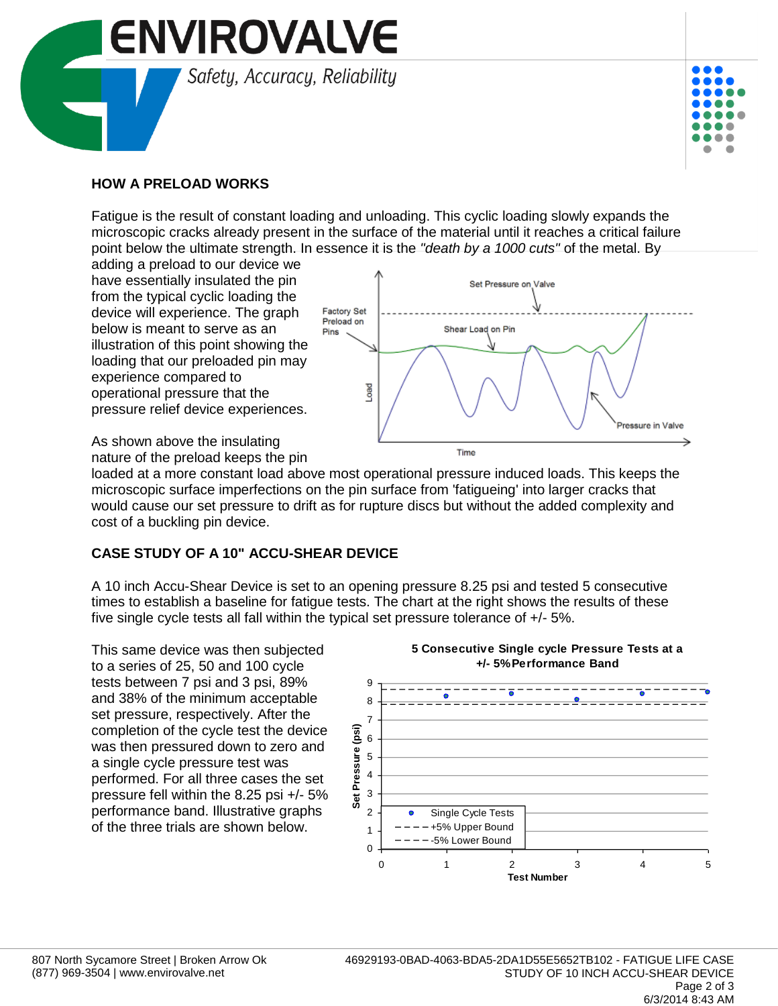



#### **HOW A PRELOAD WORKS**

Fatigue is the result of constant loading and unloading. This cyclic loading slowly expands the microscopic cracks already present in the surface of the material until it reaches a critical failure point below the ultimate strength. In essence it is the *"death by a 1000 cuts"* of the metal. By

adding a preload to our device we have essentially insulated the pin from the typical cyclic loading the device will experience. The graph below is meant to serve as an illustration of this point showing the loading that our preloaded pin may experience compared to operational pressure that the pressure relief device experiences.



As shown above the insulating nature of the preload keeps the pin

loaded at a more constant load above most operational pressure induced loads. This keeps the microscopic surface imperfections on the pin surface from 'fatigueing' into larger cracks that would cause our set pressure to drift as for rupture discs but without the added complexity and cost of a buckling pin device.

## **CASE STUDY OF A 10" ACCU-SHEAR DEVICE**

A 10 inch Accu-Shear Device is set to an opening pressure 8.25 psi and tested 5 consecutive times to establish a baseline for fatigue tests. The chart at the right shows the results of these five single cycle tests all fall within the typical set pressure tolerance of +/- 5%.

This same device was then subjected to a series of 25, 50 and 100 cycle tests between 7 psi and 3 psi, 89% and 38% of the minimum acceptable set pressure, respectively. After the completion of the cycle test the device was then pressured down to zero and a single cycle pressure test was performed. For all three cases the set pressure fell within the 8.25 psi +/- 5% performance band. Illustrative graphs of the three trials are shown below.